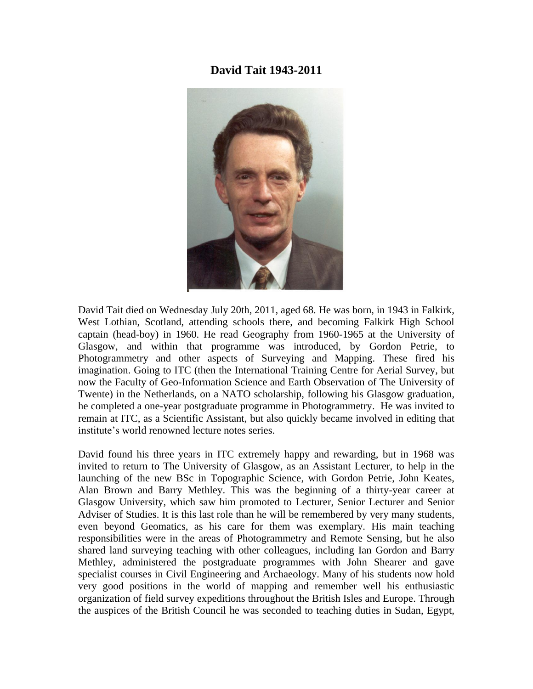## **David Tait 1943-2011**



David Tait died on Wednesday July 20th, 2011, aged 68. He was born, in 1943 in Falkirk, West Lothian, Scotland, attending schools there, and becoming Falkirk High School captain (head-boy) in 1960. He read Geography from 1960-1965 at the University of Glasgow, and within that programme was introduced, by Gordon Petrie, to Photogrammetry and other aspects of Surveying and Mapping. These fired his imagination. Going to ITC (then the International Training Centre for Aerial Survey, but now the Faculty of Geo-Information Science and Earth Observation of The University of Twente) in the Netherlands, on a NATO scholarship, following his Glasgow graduation, he completed a one-year postgraduate programme in Photogrammetry. He was invited to remain at ITC, as a Scientific Assistant, but also quickly became involved in editing that institute's world renowned lecture notes series.

David found his three years in ITC extremely happy and rewarding, but in 1968 was invited to return to The University of Glasgow, as an Assistant Lecturer, to help in the launching of the new BSc in Topographic Science, with Gordon Petrie, John Keates, Alan Brown and Barry Methley. This was the beginning of a thirty-year career at Glasgow University, which saw him promoted to Lecturer, Senior Lecturer and Senior Adviser of Studies. It is this last role than he will be remembered by very many students, even beyond Geomatics, as his care for them was exemplary. His main teaching responsibilities were in the areas of Photogrammetry and Remote Sensing, but he also shared land surveying teaching with other colleagues, including Ian Gordon and Barry Methley, administered the postgraduate programmes with John Shearer and gave specialist courses in Civil Engineering and Archaeology. Many of his students now hold very good positions in the world of mapping and remember well his enthusiastic organization of field survey expeditions throughout the British Isles and Europe. Through the auspices of the British Council he was seconded to teaching duties in Sudan, Egypt,